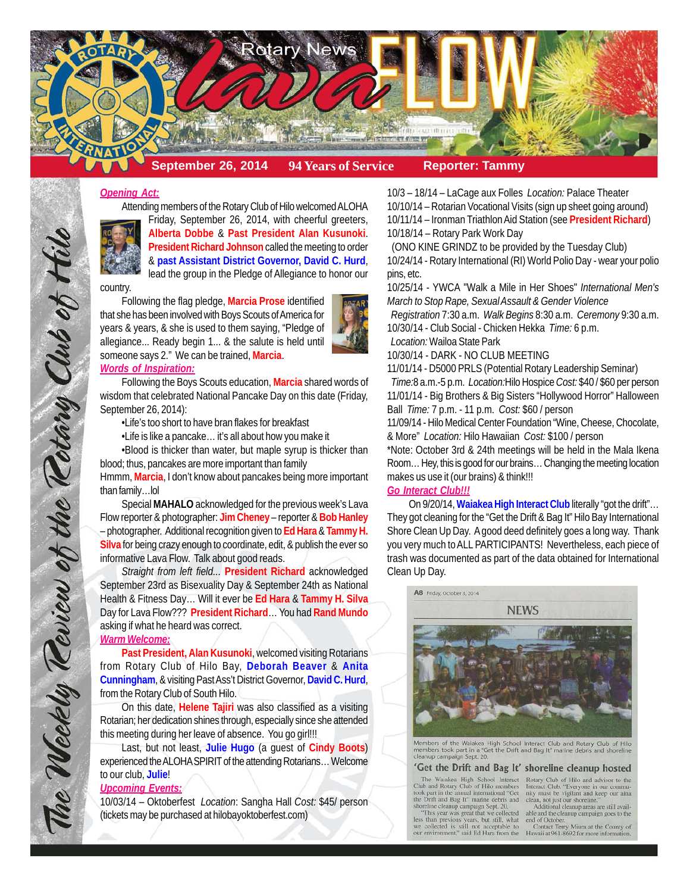

### *Opening Act:*

Attending members of the Rotary Club of Hilo welcomed ALOHA



Friday, September 26, 2014, with cheerful greeters, **Alberta Dobbe** & **Past President Alan Kusunoki**. **President Richard Johnson** called the meeting to order & **past Assistant District Governor, David C. Hurd**, lead the group in the Pledge of Allegiance to honor our

#### country.

Following the flag pledge, **Marcia Prose** identified that she has been involved with Boys Scouts of America for years & years, & she is used to them saying, "Pledge of allegiance... Ready begin 1... & the salute is held until someone says 2." We can be trained, **Marcia**.



Following the Boys Scouts education, **Marcia** shared words of wisdom that celebrated National Pancake Day on this date (Friday, September 26, 2014):

•Life's too short to have bran flakes for breakfast

•Life is like a pancake… it's all about how you make it

•Blood is thicker than water, but maple syrup is thicker than blood; thus, pancakes are more important than family Hmmm, **Marcia**, I don't know about pancakes being more important than family…lol

Special **MAHALO** acknowledged for the previous week's Lava Flow reporter & photographer: **Jim Cheney** – reporter & **Bob Hanley** – photographer. Additional recognition given to **Ed Hara** & **Tammy H. Silva** for being crazy enough to coordinate, edit, & publish the ever so informative Lava Flow. Talk about good reads.

*Straight from left field...* **President Richard** acknowledged September 23rd as Bisexuality Day & September 24th as National Health & Fitness Day… Will it ever be **Ed Hara** & **Tammy H. Silva** Day for Lava Flow??? **President Richard**… You had **Rand Mundo** asking if what he heard was correct.

### *Warm Welcome:*

The Weekly Teview of the Tetary Club of Hil

**Past President, Alan Kusunoki**, welcomed visiting Rotarians from Rotary Club of Hilo Bay, **Deborah Beaver** & **Anita Cunningham**, & visiting Past Ass't District Governor, **David C. Hurd**, from the Rotary Club of South Hilo.

On this date, **Helene Tajiri** was also classified as a visiting Rotarian; her dedication shines through, especially since she attended this meeting during her leave of absence. You go girl!!!

Last, but not least, **Julie Hugo** (a guest of **Cindy Boots**) experienced the ALOHA SPIRIT of the attending Rotarians… Welcome to our club, **Julie**!

#### *Upcoming Events:*

10/03/14 – Oktoberfest *Location*: Sangha Hall *Cost:* \$45/ person (tickets may be purchased at hilobayoktoberfest.com)

10/3 – 18/14 – LaCage aux Folles *Location:* Palace Theater 10/10/14 – Rotarian Vocational Visits (sign up sheet going around) 10/11/14 – Ironman Triathlon Aid Station (see **President Richard**) 10/18/14 – Rotary Park Work Day

 (ONO KINE GRINDZ to be provided by the Tuesday Club) 10/24/14 - Rotary International (RI) World Polio Day - wear your polio pins, etc.

10/25/14 - YWCA "Walk a Mile in Her Shoes" *International Men's March to Stop Rape, Sexual Assault & Gender Violence*

 *Registration* 7:30 a.m. *Walk Begins* 8:30 a.m. *Ceremony* 9:30 a.m. 10/30/14 - Club Social - Chicken Hekka *Time:* 6 p.m.

 *Location:* Wailoa State Park

10/30/14 - DARK - NO CLUB MEETING

11/01/14 - D5000 PRLS (Potential Rotary Leadership Seminar) *Time:*8 a.m.-5 p.m. *Location:*Hilo Hospice *Cost:* \$40 / \$60 per person 11/01/14 - Big Brothers & Big Sisters "Hollywood Horror" Halloween Ball *Time:* 7 p.m. - 11 p.m. *Cost:* \$60 / person

11/09/14 - Hilo Medical Center Foundation "Wine, Cheese, Chocolate, & More" *Location:* Hilo Hawaiian *Cost:* \$100 / person

\*Note: October 3rd & 24th meetings will be held in the Mala Ikena Room… Hey, this is good for our brains… Changing the meeting location makes us use it (our brains) & think!!!

#### *Go Interact Club!!!*

On 9/20/14, **Waiakea High Interact Club** literally "got the drift"… They got cleaning for the "Get the Drift & Bag It" Hilo Bay International Shore Clean Up Day. A good deed definitely goes a long way. Thank you very much to ALL PARTICIPANTS! Nevertheless, each piece of trash was documented as part of the data obtained for International Clean Up Day.



Members of the Waiakea High School Interact Club and Rotary Club of Hilo<br>members took part in a "Get the Drift and Bag It" marine debris and shoreline members or the walakea<br>members took part in a "G<br>cleanup campaign Sept. 20

#### 'Get the Drift and Bag It' shoreline cleanup hosted

took part in the annual international "Get<br>the Drift and Bag It" marine debris and<br>shoreline cleanup campaign Sept. 20.<br>"This year was great that we collected

Figs than previous years, but still, what<br>we collected is still not acceptable to<br>our environment," said Ed Hara from the

The Waiakea High School Interact Rotary Club of Hilo and advisor to the Club and Rotary Club of Hilo members Interact Club. "Everyone in our community must be vigilant and keep our aina elan, not just our shoreline."<br>
Additional cleanup areas are still available and the cleanup areas are still avail-<br>
able and the cleanup campaign goes to the

end of October.

Contact Terry Miura at the County of<br>Hawaii at 961-8692 for more information.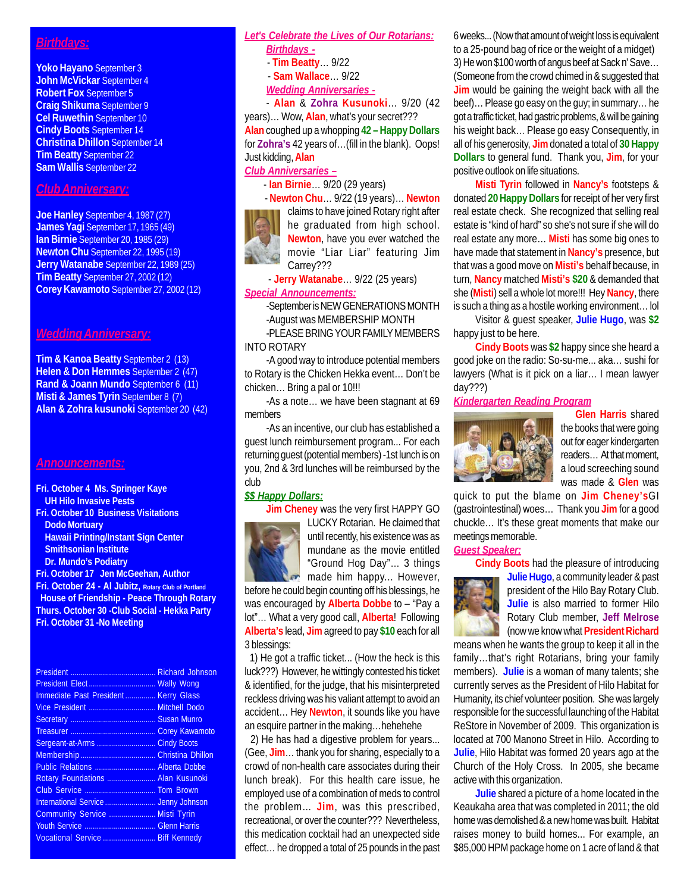## *Birthdays:*

**Yoko Hayano** September 3 **John McVickar** September 4 **Robert Fox** September 5 **Craig Shikuma** September 9 **Cel Ruwethin** September 10 **Cindy Boots** September 14 **Christina Dhillon** September 14 **Tim Beatty** September 22 **Sam Wallis** September 22

## *Club Anniversary:*

**Joe Hanley** September 4, 1987 (27) **James Yagi** September 17, 1965 (49) **Ian Birnie** September 20, 1985 (29) **Newton Chu** September 22, 1995 (19) **Jerry Watanabe** September 22, 1989 (25) **Tim Beatty** September 27, 2002 (12) **Corey Kawamoto** September 27, 2002 (12)

## *Wedding Anniversary:*

**Tim & Kanoa Beatty** September 2 (13) **Helen & Don Hemmes** September 2 (47) **Rand & Joann Mundo** September 6 (11) **Misti & James Tyrin September 8 (7) Alan & Zohra kusunoki** September 20 (42)

#### *Announcements:*

- **Fri. October 4 Ms. Springer Kaye UH Hilo Invasive Pests**
- **Fri. October 10 Business Visitations Dodo Mortuary Hawaii Printing/Instant Sign Center Smithsonian Institute Dr. Mundo's Podiatry**
- **Fri. October 17 Jen McGeehan, Author**

**Fri. October 24 - Al Jubitz, Rotary Club of Portland House of Friendship - Peace Through Rotary Thurs. October 30 -Club Social - Hekka Party Fri. October 31 -No Meeting**

| Immediate Past President  Kerry Glass |  |
|---------------------------------------|--|
| Vice President  Mitchell Dodo         |  |
|                                       |  |
|                                       |  |
| Sergeant-at-Arms  Cindy Boots         |  |
|                                       |  |
| Public Relations  Alberta Dobbe       |  |
| Rotary Foundations  Alan Kusunoki     |  |
|                                       |  |
| International Service  Jenny Johnson  |  |
| Community Service  Misti Tyrin        |  |
|                                       |  |
| Vocational Service  Biff Kennedy      |  |

# *Let's Celebrate the Lives of Our Rotarians:*

- *Birthdays -*
- **Tim Beatty**… 9/22
- **Sam Wallace**… 9/22
- *Wedding Anniversaries -*

- **Alan** & **Zohra Kusunoki**… 9/20 (42 years)… Wow, **Alan**, what's your secret??? **Alan** coughed up a whopping **42 – Happy Dollars** for **Zohra's** 42 years of…(fill in the blank). Oops! Just kidding, **Alan**

### *Club Anniversaries –*

- **Ian Birnie**… 9/20 (29 years)

 - **Newton Chu**… 9/22 (19 years)… **Newton** claims to have joined Rotary right after he graduated from high school. **Newton**, have you ever watched the movie "Liar Liar" featuring Jim Carrey???

 - **Jerry Watanabe**… 9/22 (25 years) *Special Announcements:*

-September is NEW GENERATIONS MONTH -August was MEMBERSHIP MONTH -PLEASE BRING YOUR FAMILY MEMBERS INTO ROTARY

-A good way to introduce potential members to Rotary is the Chicken Hekka event… Don't be chicken… Bring a pal or 10!!!

-As a note… we have been stagnant at 69 members

-As an incentive, our club has established a guest lunch reimbursement program... For each returning guest (potential members) -1st lunch is on you, 2nd & 3rd lunches will be reimbursed by the club

#### *\$\$ Happy Dollars:*

**Jim Cheney** was the very first HAPPY GO



LUCKY Rotarian. He claimed that until recently, his existence was as mundane as the movie entitled "Ground Hog Day"… 3 things made him happy... However,

before he could begin counting off his blessings, he was encouraged by **Alberta Dobbe** to – "Pay a lot"… What a very good call, **Alberta**! Following **Alberta's** lead, **Jim** agreed to pay **\$10** each for all 3 blessings:

 1) He got a traffic ticket... (How the heck is this luck???) However, he wittingly contested his ticket & identified, for the judge, that his misinterpreted reckless driving was his valiant attempt to avoid an accident… Hey **Newton**, it sounds like you have an esquire partner in the making…hehehehe

 2) He has had a digestive problem for years... (Gee, **Jim**… thank you for sharing, especially to a crowd of non-health care associates during their lunch break). For this health care issue, he employed use of a combination of meds to control the problem… **Jim**, was this prescribed, recreational, or over the counter??? Nevertheless, this medication cocktail had an unexpected side effect… he dropped a total of 25 pounds in the past 6 weeks... (Now that amount of weight loss is equivalent to a 25-pound bag of rice or the weight of a midget) 3) He won \$100 worth of angus beef at Sack n' Save… (Someone from the crowd chimed in & suggested that **Jim** would be gaining the weight back with all the beef)… Please go easy on the guy; in summary… he got a traffic ticket, had gastric problems, & will be gaining his weight back… Please go easy Consequently, in all of his generosity, **Jim** donated a total of **30 Happy Dollars** to general fund. Thank you, **Jim**, for your positive outlook on life situations.

**Misti Tyrin** followed in **Nancy's** footsteps & donated **20 Happy Dollars** for receipt of her very first real estate check. She recognized that selling real estate is "kind of hard" so she's not sure if she will do real estate any more… **Misti** has some big ones to have made that statement in **Nancy's** presence, but that was a good move on **Misti's** behalf because, in turn, **Nancy** matched **Misti's \$20** & demanded that she (**Misti**) sell a whole lot more!!! Hey **Nancy**, there is such a thing as a hostile working environment… lol

Visitor & guest speaker, **Julie Hugo**, was **\$2** happy just to be here.

**Cindy Boots** was **\$2** happy since she heard a good joke on the radio: So-su-me... aka… sushi for lawyers (What is it pick on a liar… I mean lawyer day???)

## *Kindergarten Reading Program*



**Glen Harris** shared the books that were going out for eager kindergarten readers… At that moment, a loud screeching sound was made & **Glen** was

quick to put the blame on **Jim Cheney's**GI (gastrointestinal) woes… Thank you **Jim** for a good chuckle… It's these great moments that make our meetings memorable.

## *Guest Speaker:*

**Cindy Boots** had the pleasure of introducing



**Julie Hugo**, a community leader & past president of the Hilo Bay Rotary Club. **Julie** is also married to former Hilo Rotary Club member, **Jeff Melrose** (now we know what **President Richard**

means when he wants the group to keep it all in the family…that's right Rotarians, bring your family members). **Julie** is a woman of many talents; she currently serves as the President of Hilo Habitat for Humanity, its chief volunteer position. She was largely responsible for the successful launching of the Habitat ReStore in November of 2009. This organization is located at 700 Manono Street in Hilo. According to **Julie**, Hilo Habitat was formed 20 years ago at the Church of the Holy Cross. In 2005, she became active with this organization.

**Julie** shared a picture of a home located in the Keaukaha area that was completed in 2011; the old home was demolished & a new home was built. Habitat raises money to build homes... For example, an \$85,000 HPM package home on 1 acre of land & that